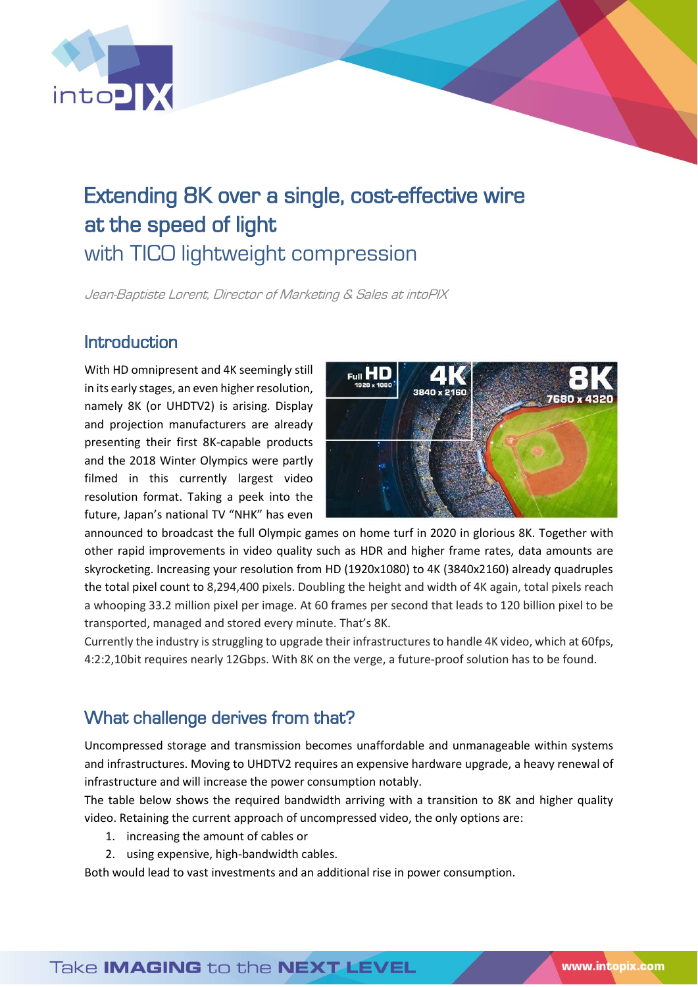

# Extending 8K over a single, cost-effective wire at the speed of light with TICO lightweight compression

Jean-Baptiste Lorent, Director of Marketing & Sales at intoPIX

### Introduction

With HD omnipresent and 4K seemingly still in its early stages, an even higher resolution, namely 8K (or UHDTV2) is arising. Display and projection manufacturers are already presenting their first 8K-capable products and the 2018 Winter Olympics were partly filmed in this currently largest video resolution format. Taking a peek into the future, Japan's national TV "NHK" has even



announced to broadcast the full Olympic games on home turf in 2020 in glorious 8K. Together with other rapid improvements in video quality such as HDR and higher frame rates, data amounts are skyrocketing. Increasing your resolution from HD (1920x1080) to 4K (3840x2160) already quadruples the total pixel count to 8,294,400 pixels. Doubling the height and width of 4K again, total pixels reach a whooping 33.2 million pixel per image. At 60 frames per second that leads to 120 billion pixel to be transported, managed and stored every minute. That's 8K.

Currently the industry is struggling to upgrade their infrastructures to handle 4K video, which at 60fps, 4:2:2,10bit requires nearly 12Gbps. With 8K on the verge, a future-proof solution has to be found.

# What challenge derives from that?

Uncompressed storage and transmission becomes unaffordable and unmanageable within systems and infrastructures. Moving to UHDTV2 requires an expensive hardware upgrade, a heavy renewal of infrastructure and will increase the power consumption notably.

The table below shows the required bandwidth arriving with a transition to 8K and higher quality video. Retaining the current approach of uncompressed video, the only options are:

- 1. increasing the amount of cables or
- 2. using expensive, high-bandwidth cables.

Both would lead to vast investments and an additional rise in power consumption.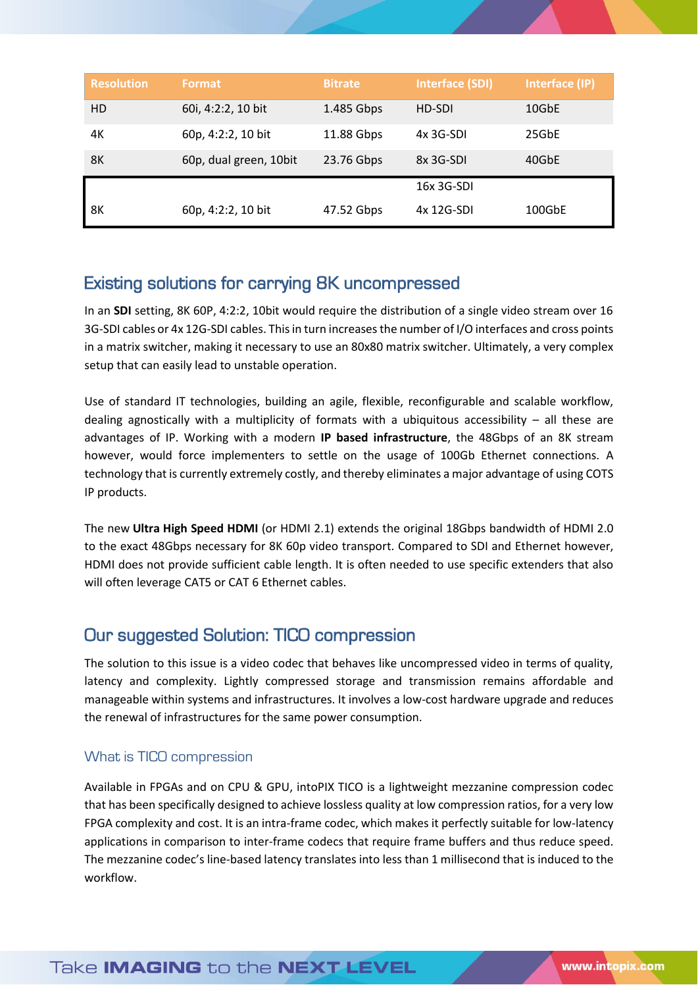| <b>Resolution</b> | Format                 | <b>Bitrate</b> | <b>Interface (SDI)</b> | Interface (IP) |
|-------------------|------------------------|----------------|------------------------|----------------|
| HD                | 60i, 4:2:2, 10 bit     | 1.485 Gbps     | HD-SDI                 | 10GbE          |
| 4К                | 60p, 4:2:2, 10 bit     | 11.88 Gbps     | $4x$ 3G-SDI            | 25GbE          |
| 8K                | 60p, dual green, 10bit | 23.76 Gbps     | 8x 3G-SDI              | 40GbE          |
|                   |                        |                | 16x 3G-SDI             |                |
| 8Κ                | 60p, 4:2:2, 10 bit     | 47.52 Gbps     | 4x 12G-SDI             | 100GbE         |

## Existing solutions for carrying 8K uncompressed

In an **SDI** setting, 8K 60P, 4:2:2, 10bit would require the distribution of a single video stream over 16 3G-SDI cables or 4x 12G-SDI cables. This in turn increases the number of I/O interfaces and cross points in a matrix switcher, making it necessary to use an 80x80 matrix switcher. Ultimately, a very complex setup that can easily lead to unstable operation.

Use of standard IT technologies, building an agile, flexible, reconfigurable and scalable workflow, dealing agnostically with a multiplicity of formats with a ubiquitous accessibility  $-$  all these are advantages of IP. Working with a modern **IP based infrastructure**, the 48Gbps of an 8K stream however, would force implementers to settle on the usage of 100Gb Ethernet connections. A technology that is currently extremely costly, and thereby eliminates a major advantage of using COTS IP products.

The new **Ultra High Speed HDMI** (or HDMI 2.1) extends the original 18Gbps bandwidth of HDMI 2.0 to the exact 48Gbps necessary for 8K 60p video transport. Compared to SDI and Ethernet however, HDMI does not provide sufficient cable length. It is often needed to use specific extenders that also will often leverage CAT5 or CAT 6 Ethernet cables.

### Our suggested Solution: TICO compression

The solution to this issue is a video codec that behaves like uncompressed video in terms of quality, latency and complexity. Lightly compressed storage and transmission remains affordable and manageable within systems and infrastructures. It involves a low-cost hardware upgrade and reduces the renewal of infrastructures for the same power consumption.

### What is TICO compression

Available in FPGAs and on CPU & GPU, intoPIX TICO is a lightweight mezzanine compression codec that has been specifically designed to achieve lossless quality at low compression ratios, for a very low FPGA complexity and cost. It is an intra-frame codec, which makes it perfectly suitable for low-latency applications in comparison to inter-frame codecs that require frame buffers and thus reduce speed. The mezzanine codec's line-based latency translates into less than 1 millisecond that is induced to the workflow.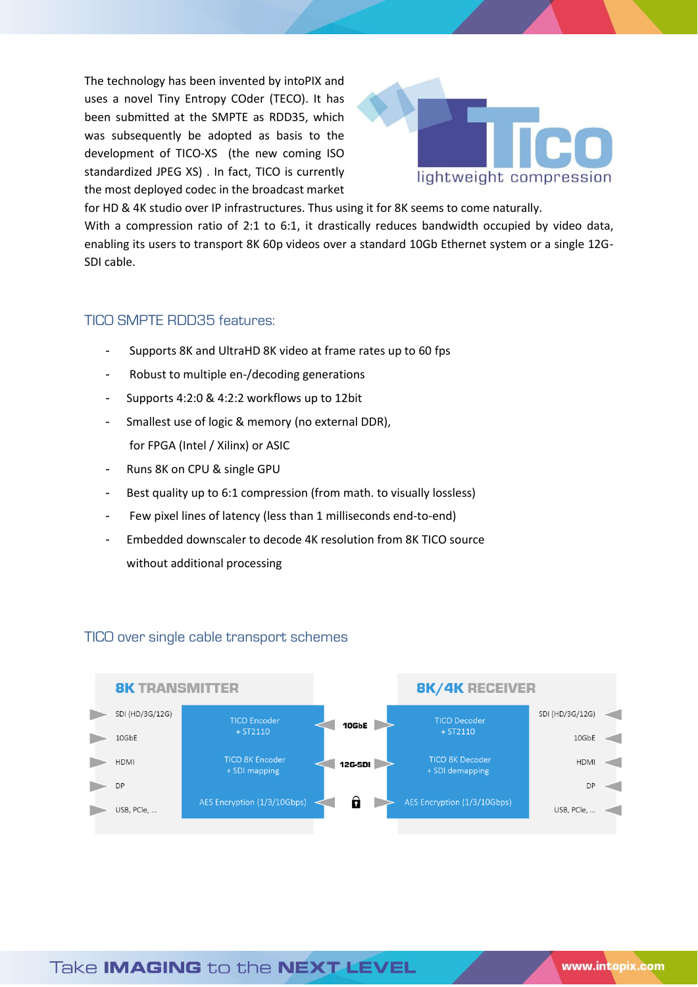The technology has been invented by intoPIX and uses a novel Tiny Entropy COder (TECO). It has been submitted at the SMPTE as RDD35, which was subsequently be adopted as basis to the development of TICO-XS (the new coming ISO standardized JPEG XS) . In fact, TICO is currently the most deployed codec in the broadcast market



for HD & 4K studio over IP infrastructures. Thus using it for 8K seems to come naturally. With a compression ratio of 2:1 to 6:1, it drastically reduces bandwidth occupied by video data, enabling its users to transport 8K 60p videos over a standard 10Gb Ethernet system or a single 12G-SDI cable.

#### TICO SMPTE RDD35 features:

- Supports 8K and UltraHD 8K video at frame rates up to 60 fps
- Robust to multiple en-/decoding generations
- Supports 4:2:0 & 4:2:2 workflows up to 12bit
- Smallest use of logic & memory (no external DDR), for FPGA (Intel / Xilinx) or ASIC
- Runs 8K on CPU & single GPU
- Best quality up to 6:1 compression (from math. to visually lossless)
- Few pixel lines of latency (less than 1 milliseconds end-to-end)
- Embedded downscaler to decode 4K resolution from 8K TICO source without additional processing



#### TICO over single cable transport schemes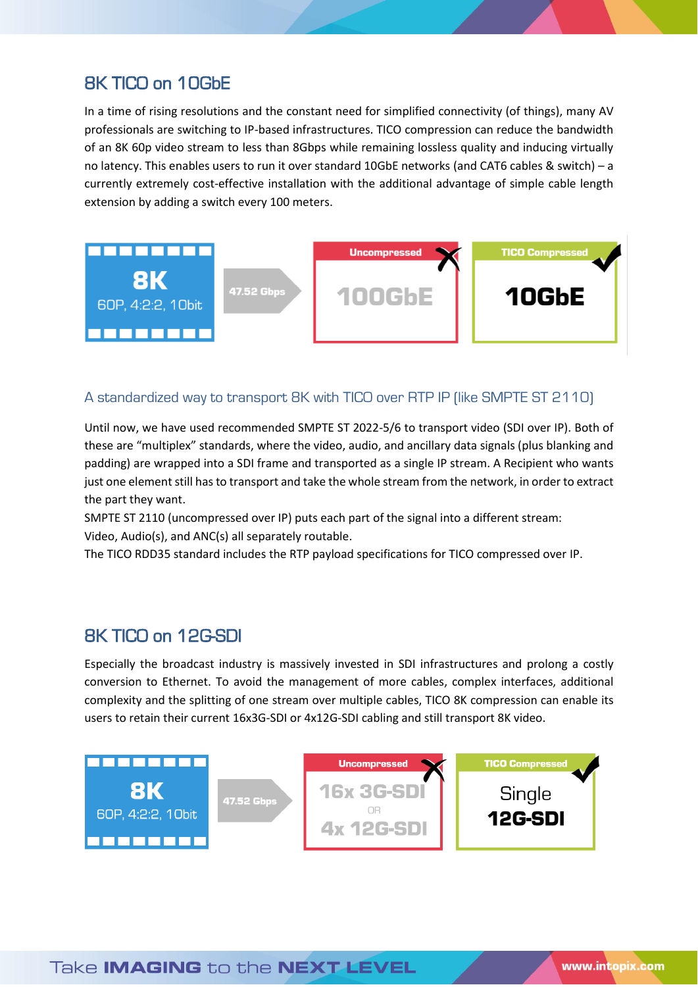# 8K TICO on 10GbE

In a time of rising resolutions and the constant need for simplified connectivity (of things), many AV professionals are switching to IP-based infrastructures. TICO compression can reduce the bandwidth of an 8K 60p video stream to less than 8Gbps while remaining lossless quality and inducing virtually no latency. This enables users to run it over standard 10GbE networks (and CAT6 cables & switch) – a currently extremely cost-effective installation with the additional advantage of simple cable length extension by adding a switch every 100 meters.



#### A standardized way to transport 8K with TICO over RTP IP (like SMPTE ST 2110)

Until now, we have used recommended SMPTE ST 2022-5/6 to transport video (SDI over IP). Both of these are "multiplex" standards, where the video, audio, and ancillary data signals (plus blanking and padding) are wrapped into a SDI frame and transported as a single IP stream. A Recipient who wants just one element still has to transport and take the whole stream from the network, in order to extract the part they want.

SMPTE ST 2110 (uncompressed over IP) puts each part of the signal into a different stream: Video, Audio(s), and ANC(s) all separately routable.

The TICO RDD35 standard includes the RTP payload specifications for TICO compressed over IP.

### 8K TICO on 12G-SDI

Especially the broadcast industry is massively invested in SDI infrastructures and prolong a costly conversion to Ethernet. To avoid the management of more cables, complex interfaces, additional complexity and the splitting of one stream over multiple cables, TICO 8K compression can enable its users to retain their current 16x3G-SDI or 4x12G-SDI cabling and still transport 8K video.

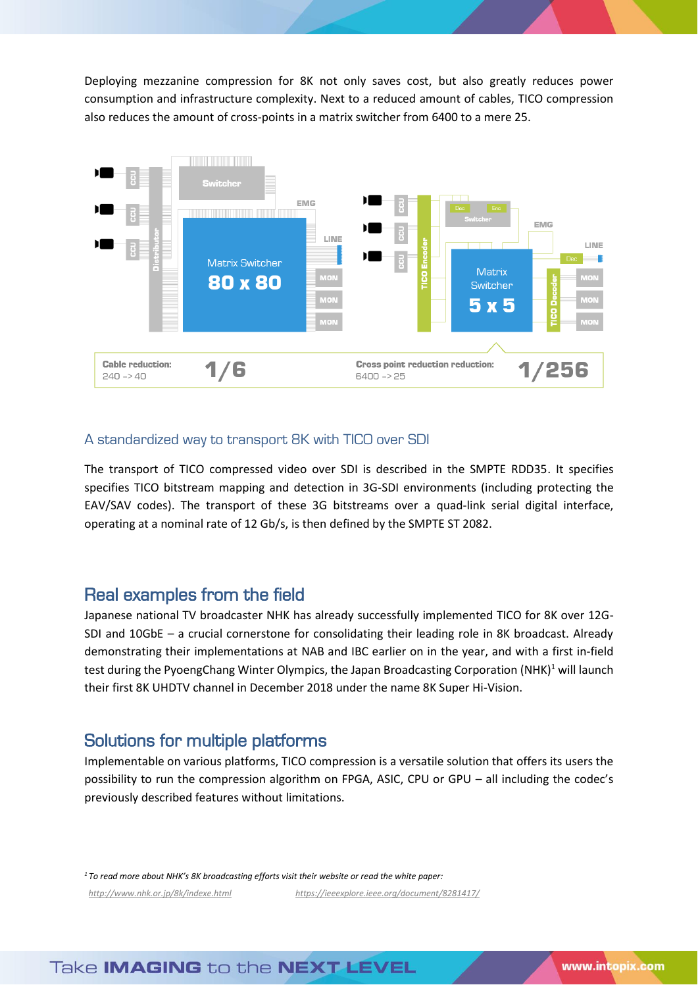Deploying mezzanine compression for 8K not only saves cost, but also greatly reduces power consumption and infrastructure complexity. Next to a reduced amount of cables, TICO compression also reduces the amount of cross-points in a matrix switcher from 6400 to a mere 25.



#### A standardized way to transport 8K with TICO over SDI

The transport of TICO compressed video over SDI is described in the SMPTE RDD35. It specifies specifies TICO bitstream mapping and detection in 3G-SDI environments (including protecting the EAV/SAV codes). The transport of these 3G bitstreams over a quad-link serial digital interface, operating at a nominal rate of 12 Gb/s, is then defined by the SMPTE ST 2082.

### Real examples from the field

Japanese national TV broadcaster NHK has already successfully implemented TICO for 8K over 12G-SDI and 10GbE – a crucial cornerstone for consolidating their leading role in 8K broadcast. Already demonstrating their implementations at NAB and IBC earlier on in the year, and with a first in-field test during the PyoengChang Winter Olympics, the Japan Broadcasting Corporation (NHK)<sup>1</sup> will launch their first 8K UHDTV channel in December 2018 under the name 8K Super Hi-Vision.

### Solutions for multiple platforms

Implementable on various platforms, TICO compression is a versatile solution that offers its users the possibility to run the compression algorithm on FPGA, ASIC, CPU or GPU – all including the codec's previously described features without limitations.

*<sup>1</sup>To read more about NHK's 8K broadcasting efforts visit their website or read the white paper:  [http://www.nhk.or.jp/8k/indexe.html](http://www.nhk.or.jp/8k/index_e.html) <https://ieeexplore.ieee.org/document/8281417/>*

Take **IMAGING** to the **NEXT LEVEL**